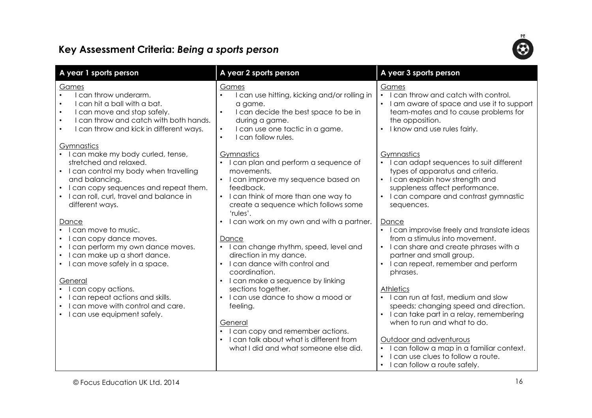## Key Assessment Criteria: Being a sports person



| A year 1 sports person                                                                                                                                                                                                          | A year 2 sports person                                                                                                                                                                                                                       | A year 3 sports person                                                                                                                                                                                                                                                                                                                 |
|---------------------------------------------------------------------------------------------------------------------------------------------------------------------------------------------------------------------------------|----------------------------------------------------------------------------------------------------------------------------------------------------------------------------------------------------------------------------------------------|----------------------------------------------------------------------------------------------------------------------------------------------------------------------------------------------------------------------------------------------------------------------------------------------------------------------------------------|
| Games<br>I can throw underarm.<br>I can hit a ball with a bat.<br>I can move and stop safely.<br>I can throw and catch with both hands.<br>I can throw and kick in different ways.<br>Gymnastics                                | Games<br>I can use hitting, kicking and/or rolling in<br>$\bullet$<br>a game.<br>I can decide the best space to be in<br>$\bullet$<br>during a game.<br>I can use one tactic in a game.<br>$\bullet$<br>I can follow rules.<br>$\bullet$     | Games<br>• I can throw and catch with control.<br>I am aware of space and use it to support<br>team-mates and to cause problems for<br>the opposition.<br>I know and use rules fairly.<br>$\bullet$                                                                                                                                    |
| • I can make my body curled, tense,<br>stretched and relaxed.<br>I can control my body when travelling<br>and balancing.<br>I can copy sequences and repeat them.<br>I can roll, curl, travel and balance in<br>different ways. | Gymnastics<br>I can plan and perform a sequence of<br>movements.<br>• I can improve my sequence based on<br>feedback.<br>• I can think of more than one way to<br>create a sequence which follows some<br>'rules'.                           | Gymnastics<br>• I can adapt sequences to suit different<br>types of apparatus and criteria.<br>I can explain how strength and<br>suppleness affect performance.<br>I can compare and contrast gymnastic<br>$\bullet$<br>sequences.                                                                                                     |
| Dance<br>I can move to music.<br>can copy dance moves.<br>can perform my own dance moves.<br>I can make up a short dance.<br>I can move safely in a space.                                                                      | I can work on my own and with a partner.<br>Dance<br>• I can change rhythm, speed, level and<br>direction in my dance.<br>• I can dance with control and<br>coordination.                                                                    | Dance<br>I can improvise freely and translate ideas<br>from a stimulus into movement.<br>• I can share and create phrases with a<br>partner and small group.<br>• I can repeat, remember and perform<br>phrases.                                                                                                                       |
| General<br>I can copy actions.<br>can repeat actions and skills.<br>can move with control and care.<br>I can use equipment safely.                                                                                              | • I can make a sequence by linking<br>sections together.<br>I can use dance to show a mood or<br>feeling.<br>General<br>I can copy and remember actions.<br>I can talk about what is different from<br>what I did and what someone else did. | <b>Athletics</b><br>• I can run at fast, medium and slow<br>speeds; changing speed and direction.<br>I can take part in a relay, remembering<br>when to run and what to do.<br>Outdoor and adventurous<br>I can follow a map in a familiar context.<br>$\bullet$<br>I can use clues to follow a route.<br>I can follow a route safely. |